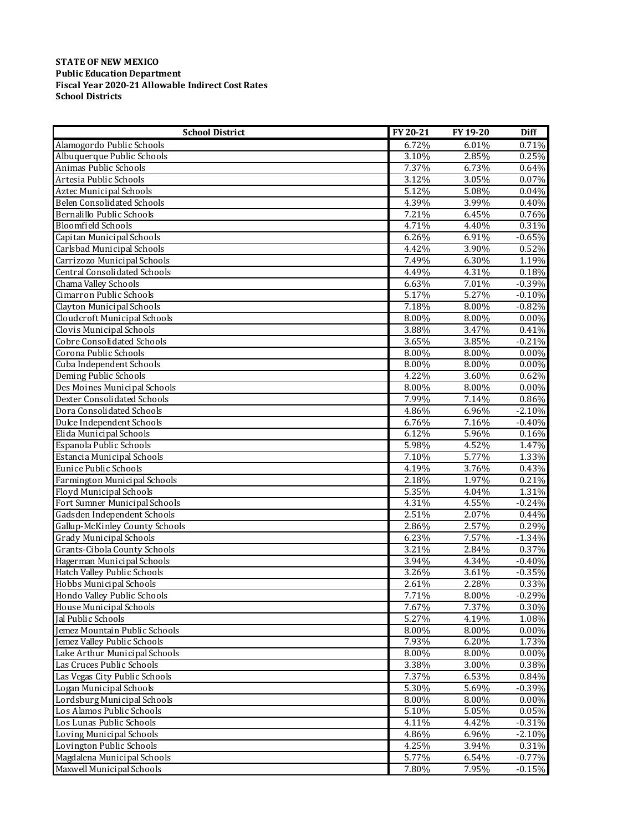## **STATE OF NEW MEXICO Public Education Department Fiscal Year 2020‐21 Allowable Indirect Cost Rates School Districts**

| <b>School District</b>              | FY 20-21 | FY 19-20 | <b>Diff</b> |
|-------------------------------------|----------|----------|-------------|
| Alamogordo Public Schools           | 6.72%    | 6.01%    | 0.71%       |
| Albuquerque Public Schools          | 3.10%    | 2.85%    | 0.25%       |
| Animas Public Schools               | 7.37%    | 6.73%    | 0.64%       |
| Artesia Public Schools              | 3.12%    | 3.05%    | 0.07%       |
| Aztec Municipal Schools             | 5.12%    | 5.08%    | 0.04%       |
| <b>Belen Consolidated Schools</b>   | 4.39%    | 3.99%    | 0.40%       |
| Bernalillo Public Schools           | 7.21%    | 6.45%    | 0.76%       |
| <b>Bloomfield Schools</b>           | 4.71%    | 4.40%    | 0.31%       |
| Capitan Municipal Schools           | 6.26%    | 6.91%    | $-0.65%$    |
| Carlsbad Municipal Schools          | 4.42%    | 3.90%    | 0.52%       |
| Carrizozo Municipal Schools         | 7.49%    | 6.30%    | 1.19%       |
| <b>Central Consolidated Schools</b> | 4.49%    | 4.31%    | 0.18%       |
| Chama Valley Schools                | 6.63%    | 7.01%    | $-0.39%$    |
| Cimarron Public Schools             | 5.17%    | 5.27%    | $-0.10%$    |
| Clayton Municipal Schools           | 7.18%    | 8.00%    | $-0.82%$    |
| Cloudcroft Municipal Schools        | 8.00%    | 8.00%    | $0.00\%$    |
| Clovis Municipal Schools            | 3.88%    | 3.47%    | 0.41%       |
| <b>Cobre Consolidated Schools</b>   | 3.65%    | 3.85%    | $-0.21%$    |
| Corona Public Schools               | 8.00%    | 8.00%    | $0.00\%$    |
| Cuba Independent Schools            | 8.00%    | 8.00%    | 0.00%       |
| Deming Public Schools               | 4.22%    | 3.60%    | 0.62%       |
| Des Moines Municipal Schools        | 8.00%    | 8.00%    | $0.00\%$    |
| <b>Dexter Consolidated Schools</b>  | 7.99%    | 7.14%    | 0.86%       |
| Dora Consolidated Schools           | 4.86%    | 6.96%    | $-2.10%$    |
| Dulce Independent Schools           | 6.76%    | 7.16%    | $-0.40%$    |
| Elida Municipal Schools             | 6.12%    | 5.96%    | 0.16%       |
| Espanola Public Schools             | 5.98%    | 4.52%    | 1.47%       |
| Estancia Municipal Schools          | 7.10%    | 5.77%    | 1.33%       |
| <b>Eunice Public Schools</b>        | 4.19%    | 3.76%    | 0.43%       |
| Farmington Municipal Schools        | 2.18%    | 1.97%    | 0.21%       |
| Floyd Municipal Schools             | 5.35%    | 4.04%    | 1.31%       |
| Fort Sumner Municipal Schools       | 4.31%    | 4.55%    | $-0.24%$    |
| Gadsden Independent Schools         | 2.51%    | 2.07%    | 0.44%       |
| Gallup-McKinley County Schools      | 2.86%    | 2.57%    | 0.29%       |
| <b>Grady Municipal Schools</b>      | 6.23%    | 7.57%    | $-1.34%$    |
| Grants-Cibola County Schools        | 3.21%    | 2.84%    | 0.37%       |
| Hagerman Municipal Schools          | 3.94%    | 4.34%    | $-0.40%$    |
| Hatch Valley Public Schools         | 3.26%    | 3.61%    | $-0.35%$    |
| Hobbs Municipal Schools             | 2.61%    | 2.28%    | 0.33%       |
| Hondo Valley Public Schools         | 7.71%    | 8.00%    | $-0.29%$    |
| House Municipal Schools             | 7.67%    | 7.37%    | 0.30%       |
| Jal Public Schools                  | 5.27%    | 4.19%    | 1.08%       |
| Jemez Mountain Public Schools       | 8.00%    | 8.00%    | $0.00\%$    |
| Jemez Valley Public Schools         | 7.93%    | 6.20%    | 1.73%       |
| Lake Arthur Municipal Schools       | 8.00%    | 8.00%    | $0.00\%$    |
| Las Cruces Public Schools           | 3.38%    | 3.00%    | 0.38%       |
| Las Vegas City Public Schools       | 7.37%    | 6.53%    | 0.84%       |
| Logan Municipal Schools             | 5.30%    | 5.69%    | $-0.39%$    |
| Lordsburg Municipal Schools         | 8.00%    | $8.00\%$ | $0.00\%$    |
| Los Alamos Public Schools           | 5.10%    | 5.05%    | 0.05%       |
| Los Lunas Public Schools            | 4.11%    | 4.42%    | $-0.31%$    |
| <b>Loving Municipal Schools</b>     | 4.86%    | 6.96%    | $-2.10%$    |
| Lovington Public Schools            | 4.25%    | 3.94%    | 0.31%       |
| Magdalena Municipal Schools         | 5.77%    | 6.54%    | $-0.77%$    |
| Maxwell Municipal Schools           | 7.80%    | 7.95%    | $-0.15%$    |